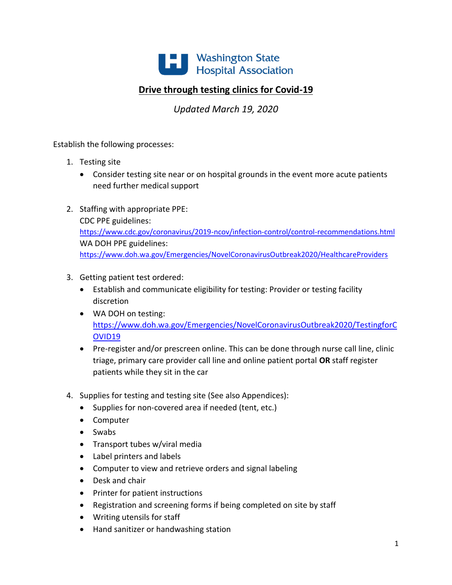

# **Drive through testing clinics for Covid-19**

*Updated March 19, 2020*

Establish the following processes:

- 1. Testing site
	- Consider testing site near or on hospital grounds in the event more acute patients need further medical support
- 2. Staffing with appropriate PPE: CDC PPE guidelines: <https://www.cdc.gov/coronavirus/2019-ncov/infection-control/control-recommendations.html> WA DOH PPE guidelines: <https://www.doh.wa.gov/Emergencies/NovelCoronavirusOutbreak2020/HealthcareProviders>
- 3. Getting patient test ordered:
	- Establish and communicate eligibility for testing: Provider or testing facility discretion
	- WA DOH on testing: [https://www.doh.wa.gov/Emergencies/NovelCoronavirusOutbreak2020/TestingforC](https://www.doh.wa.gov/Emergencies/NovelCoronavirusOutbreak2020/TestingforCOVID19) [OVID19](https://www.doh.wa.gov/Emergencies/NovelCoronavirusOutbreak2020/TestingforCOVID19)
	- Pre-register and/or prescreen online. This can be done through nurse call line, clinic triage, primary care provider call line and online patient portal **OR** staff register patients while they sit in the car
- 4. Supplies for testing and testing site (See also Appendices):
	- Supplies for non-covered area if needed (tent, etc.)
	- Computer
	- Swabs
	- Transport tubes w/viral media
	- Label printers and labels
	- Computer to view and retrieve orders and signal labeling
	- Desk and chair
	- Printer for patient instructions
	- Registration and screening forms if being completed on site by staff
	- Writing utensils for staff
	- Hand sanitizer or handwashing station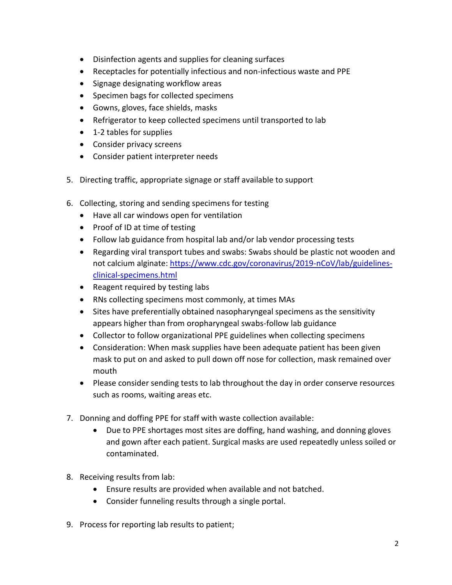- Disinfection agents and supplies for cleaning surfaces
- Receptacles for potentially infectious and non-infectious waste and PPE
- Signage designating workflow areas
- Specimen bags for collected specimens
- Gowns, gloves, face shields, masks
- Refrigerator to keep collected specimens until transported to lab
- 1-2 tables for supplies
- Consider privacy screens
- Consider patient interpreter needs
- 5. Directing traffic, appropriate signage or staff available to support
- 6. Collecting, storing and sending specimens for testing
	- Have all car windows open for ventilation
	- Proof of ID at time of testing
	- Follow lab guidance from hospital lab and/or lab vendor processing tests
	- Regarding viral transport tubes and swabs: Swabs should be plastic not wooden and not calcium alginate: [https://www.cdc.gov/coronavirus/2019-nCoV/lab/guidelines](https://www.cdc.gov/coronavirus/2019-nCoV/lab/guidelines-clinical-specimens.html)[clinical-specimens.html](https://www.cdc.gov/coronavirus/2019-nCoV/lab/guidelines-clinical-specimens.html)
	- Reagent required by testing labs
	- RNs collecting specimens most commonly, at times MAs
	- Sites have preferentially obtained nasopharyngeal specimens as the sensitivity appears higher than from oropharyngeal swabs-follow lab guidance
	- Collector to follow organizational PPE guidelines when collecting specimens
	- Consideration: When mask supplies have been adequate patient has been given mask to put on and asked to pull down off nose for collection, mask remained over mouth
	- Please consider sending tests to lab throughout the day in order conserve resources such as rooms, waiting areas etc.
- 7. Donning and doffing PPE for staff with waste collection available:
	- Due to PPE shortages most sites are doffing, hand washing, and donning gloves and gown after each patient. Surgical masks are used repeatedly unless soiled or contaminated.
- 8. Receiving results from lab:
	- Ensure results are provided when available and not batched.
	- Consider funneling results through a single portal.
- 9. Process for reporting lab results to patient;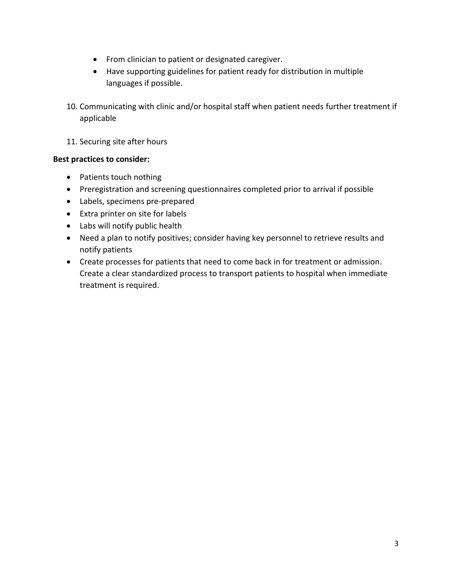- From clinician to patient or designated caregiver.
- Have supporting guidelines for patient ready for distribution in multiple languages if possible.
- 10. Communicating with clinic and/or hospital staff when patient needs further treatment if applicable
- 11. Securing site after hours

# **Best practices to consider:**

- Patients touch nothing
- Preregistration and screening questionnaires completed prior to arrival if possible
- Labels, specimens pre-prepared
- Extra printer on site for labels
- Labs will notify public health
- Need a plan to notify positives; consider having key personnel to retrieve results and notify patients
- Create processes for patients that need to come back in for treatment or admission. Create a clear standardized process to transport patients to hospital when immediate treatment is required.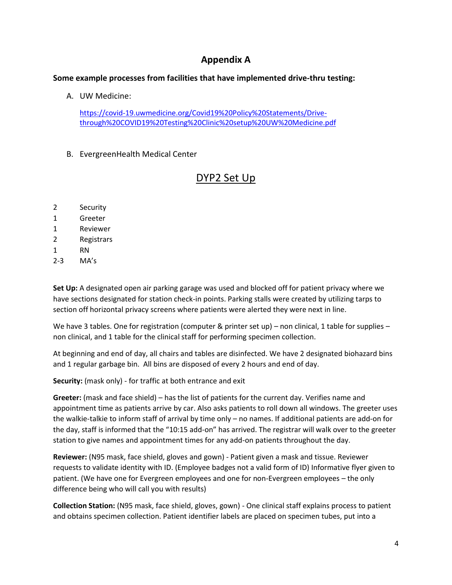# **Appendix A**

### **Some example processes from facilities that have implemented drive-thru testing:**

A. UW Medicine:

[https://covid-19.uwmedicine.org/Covid19%20Policy%20Statements/Drive](https://covid-19.uwmedicine.org/Covid19%20Policy%20Statements/Drive-through%20COVID19%20Testing%20Clinic%20setup%20UW%20Medicine.pdf)[through%20COVID19%20Testing%20Clinic%20setup%20UW%20Medicine.pdf](https://covid-19.uwmedicine.org/Covid19%20Policy%20Statements/Drive-through%20COVID19%20Testing%20Clinic%20setup%20UW%20Medicine.pdf)

B. EvergreenHealth Medical Center

# DYP2 Set Up

- 2 Security
- 1 Greeter
- 1 Reviewer
- 2 Registrars
- 1 RN
- 2-3 MA's

**Set Up:** A designated open air parking garage was used and blocked off for patient privacy where we have sections designated for station check-in points. Parking stalls were created by utilizing tarps to section off horizontal privacy screens where patients were alerted they were next in line.

We have 3 tables. One for registration (computer & printer set up) – non clinical, 1 table for supplies – non clinical, and 1 table for the clinical staff for performing specimen collection.

At beginning and end of day, all chairs and tables are disinfected. We have 2 designated biohazard bins and 1 regular garbage bin. All bins are disposed of every 2 hours and end of day.

**Security:** (mask only) - for traffic at both entrance and exit

**Greeter:** (mask and face shield) – has the list of patients for the current day. Verifies name and appointment time as patients arrive by car. Also asks patients to roll down all windows. The greeter uses the walkie-talkie to inform staff of arrival by time only – no names. If additional patients are add-on for the day, staff is informed that the "10:15 add-on" has arrived. The registrar will walk over to the greeter station to give names and appointment times for any add-on patients throughout the day.

**Reviewer:** (N95 mask, face shield, gloves and gown) - Patient given a mask and tissue. Reviewer requests to validate identity with ID. (Employee badges not a valid form of ID) Informative flyer given to patient. (We have one for Evergreen employees and one for non-Evergreen employees – the only difference being who will call you with results)

**Collection Station:** (N95 mask, face shield, gloves, gown) - One clinical staff explains process to patient and obtains specimen collection. Patient identifier labels are placed on specimen tubes, put into a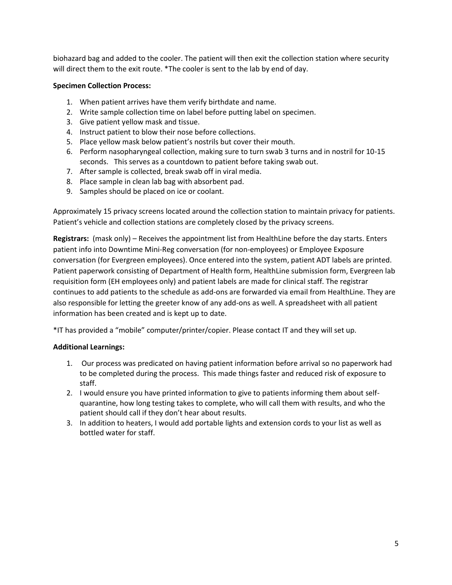biohazard bag and added to the cooler. The patient will then exit the collection station where security will direct them to the exit route. \*The cooler is sent to the lab by end of day.

### **Specimen Collection Process:**

- 1. When patient arrives have them verify birthdate and name.
- 2. Write sample collection time on label before putting label on specimen.
- 3. Give patient yellow mask and tissue.
- 4. Instruct patient to blow their nose before collections.
- 5. Place yellow mask below patient's nostrils but cover their mouth.
- 6. Perform nasopharyngeal collection, making sure to turn swab 3 turns and in nostril for 10-15 seconds. This serves as a countdown to patient before taking swab out.
- 7. After sample is collected, break swab off in viral media.
- 8. Place sample in clean lab bag with absorbent pad.
- 9. Samples should be placed on ice or coolant.

Approximately 15 privacy screens located around the collection station to maintain privacy for patients. Patient's vehicle and collection stations are completely closed by the privacy screens.

**Registrars:** (mask only) – Receives the appointment list from HealthLine before the day starts. Enters patient info into Downtime Mini-Reg conversation (for non-employees) or Employee Exposure conversation (for Evergreen employees). Once entered into the system, patient ADT labels are printed. Patient paperwork consisting of Department of Health form, HealthLine submission form, Evergreen lab requisition form (EH employees only) and patient labels are made for clinical staff. The registrar continues to add patients to the schedule as add-ons are forwarded via email from HealthLine. They are also responsible for letting the greeter know of any add-ons as well. A spreadsheet with all patient information has been created and is kept up to date.

\*IT has provided a "mobile" computer/printer/copier. Please contact IT and they will set up.

#### **Additional Learnings:**

- 1. Our process was predicated on having patient information before arrival so no paperwork had to be completed during the process. This made things faster and reduced risk of exposure to staff.
- 2. I would ensure you have printed information to give to patients informing them about selfquarantine, how long testing takes to complete, who will call them with results, and who the patient should call if they don't hear about results.
- 3. In addition to heaters, I would add portable lights and extension cords to your list as well as bottled water for staff.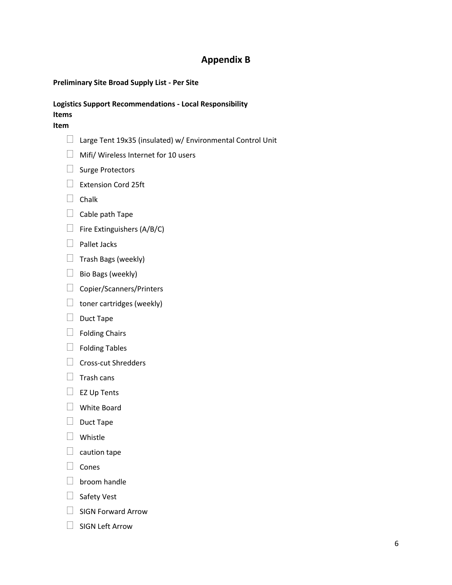# **Appendix B**

### **Preliminary Site Broad Supply List - Per Site**

#### **Logistics Support Recommendations - Local Responsibility Items**

#### **Item**

- $\Box$  Large Tent 19x35 (insulated) w/ Environmental Control Unit
- **Mifi/ Wireless Internet for 10 users**
- $\Box$  Surge Protectors
- $\Box$  Extension Cord 25ft
- $\Box$  Chalk
- $\Box$  Cable path Tape
- $\Box$  Fire Extinguishers (A/B/C)
- $\Box$  Pallet Jacks
- $\Box$  Trash Bags (weekly)
- $\Box$  Bio Bags (weekly)
- Copier/Scanners/Printers
- $\Box$  toner cartridges (weekly)
- $\Box$  Duct Tape
- $\Box$  Folding Chairs
- $\Box$  Folding Tables
- $\Box$  Cross-cut Shredders
- $\Box$  Trash cans
- $\Box$  EZ Up Tents
- White Board
- $\Box$  Duct Tape
- **D** Whistle
- $\Box$  caution tape
- $\Box$  Cones
- $\Box$  broom handle
- $\Box$  Safety Vest
- $\Box$  SIGN Forward Arrow
- $\Box$  SIGN Left Arrow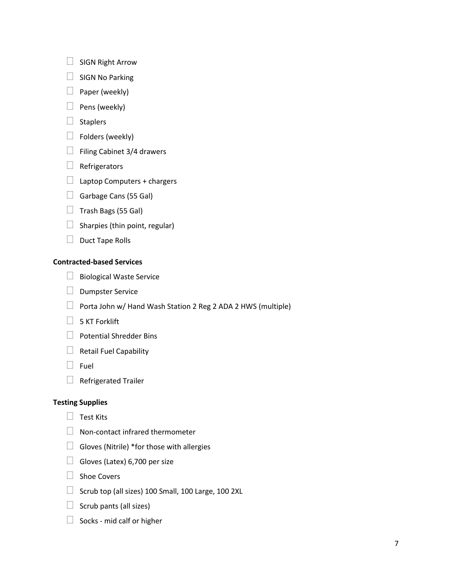- $\Box$  SIGN Right Arrow
- $\Box$  SIGN No Parking
- $\Box$  Paper (weekly)
- $\Box$  Pens (weekly)
- $\Box$  Staplers
- $\Box$  Folders (weekly)
- $\Box$  Filing Cabinet 3/4 drawers
- $\Box$  Refrigerators
- $\Box$  Laptop Computers + chargers
- Garbage Cans (55 Gal)
- $\Box$  Trash Bags (55 Gal)
- $\Box$  Sharpies (thin point, regular)
- $\Box$  Duct Tape Rolls

### **Contracted-based Services**

- $\Box$  Biological Waste Service
- $\Box$  Dumpster Service
- $\Box$  Porta John w/ Hand Wash Station 2 Reg 2 ADA 2 HWS (multiple)
- $\Box$  5 KT Forklift
- $\Box$  Potential Shredder Bins
- $\Box$  Retail Fuel Capability
- $\Box$  Fuel
- $\Box$  Refrigerated Trailer

## **Testing Supplies**

- $\Box$  Test Kits
- $\Box$  Non-contact infrared thermometer
- $\Box$  Gloves (Nitrile) \*for those with allergies
- $\Box$  Gloves (Latex) 6,700 per size
- $\Box$  Shoe Covers
- $\Box$  Scrub top (all sizes) 100 Small, 100 Large, 100 2XL
- $\Box$  Scrub pants (all sizes)
- $\Box$  Socks mid calf or higher